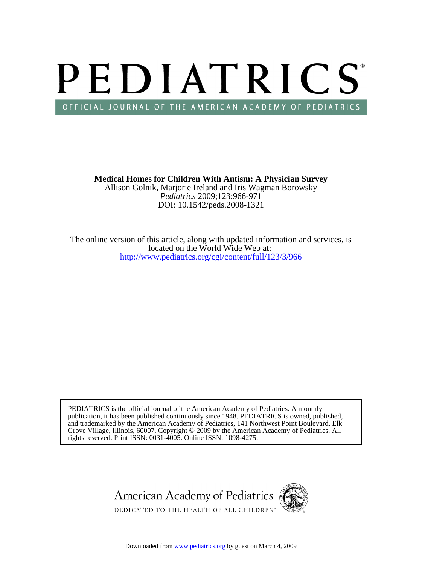# PEDIATRICS OFFICIAL JOURNAL OF THE AMERICAN ACADEMY OF PEDIATRICS

DOI: 10.1542/peds.2008-1321 *Pediatrics* 2009;123;966-971 Allison Golnik, Marjorie Ireland and Iris Wagman Borowsky **Medical Homes for Children With Autism: A Physician Survey**

<http://www.pediatrics.org/cgi/content/full/123/3/966> located on the World Wide Web at: The online version of this article, along with updated information and services, is

rights reserved. Print ISSN: 0031-4005. Online ISSN: 1098-4275. Grove Village, Illinois, 60007. Copyright  $\ddot{\odot}$  2009 by the American Academy of Pediatrics. All and trademarked by the American Academy of Pediatrics, 141 Northwest Point Boulevard, Elk publication, it has been published continuously since 1948. PEDIATRICS is owned, published, PEDIATRICS is the official journal of the American Academy of Pediatrics. A monthly

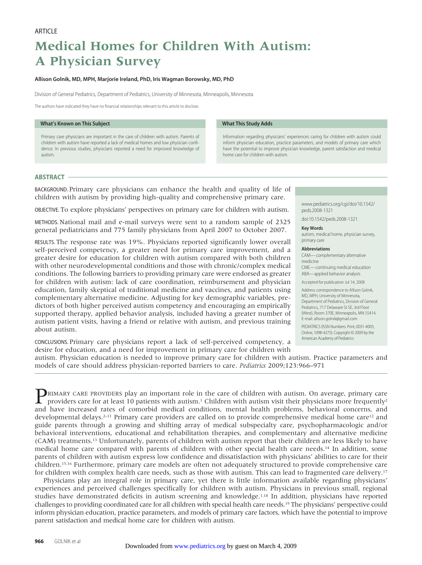## **Medical Homes for Children With Autism: A Physician Survey**

#### **Allison Golnik, MD, MPH, Marjorie Ireland, PhD, Iris Wagman Borowsky, MD, PhD**

Division of General Pediatrics, Department of Pediatrics, University of Minnesota, Minneapolis, Minnesota

The authors have indicated they have no financial relationships relevant to this article to disclose.

#### **What's Known on This Subject**

Primary care physicians are important in the care of children with autism. Parents of children with autism have reported a lack of medical homes and low physician confidence. In previous studies, physicians reported a need for improved knowledge of autism.

#### **What This Study Adds**

Information regarding physicians' experiences caring for children with autism could inform physician education, practice parameters, and models of primary care which have the potential to improve physician knowledge, parent satisfaction and medical home care for children with autism.

#### **ABSTRACT**

BACKGROUND. Primary care physicians can enhance the health and quality of life of children with autism by providing high-quality and comprehensive primary care.

OBJECTIVE. To explore physicians' perspectives on primary care for children with autism.

METHODS. National mail and e-mail surveys were sent to a random sample of 2325 general pediatricians and 775 family physicians from April 2007 to October 2007.

RESULTS. The response rate was 19%. Physicians reported significantly lower overall self-perceived competency, a greater need for primary care improvement, and a greater desire for education for children with autism compared with both children with other neurodevelopmental conditions and those with chronic/complex medical conditions. The following barriers to providing primary care were endorsed as greater for children with autism: lack of care coordination, reimbursement and physician education, family skeptical of traditional medicine and vaccines, and patients using complementary alternative medicine. Adjusting for key demographic variables, predictors of both higher perceived autism competency and encouraging an empirically supported therapy, applied behavior analysis, included having a greater number of autism patient visits, having a friend or relative with autism, and previous training about autism.

CONCLUSIONS. Primary care physicians report a lack of self-perceived competency, a desire for education, and a need for improvement in primary care for children with

www.pediatrics.org/cgi/doi/10.1542/ peds.2008-1321

doi:10.1542/peds.2008-1321

#### **Key Words**

autism, medical home, physician survey, primary care

#### **Abbreviations**

CAM— complementary alternative medicine CME— continuing medical education ABA—applied behavior analysis

Accepted for publication Jul 14, 2008

Address correspondence to Allison Golnik, MD, MPH, University of Minnesota, Department of Pediatrics, Division of General Pediatrics, 717 Delaware St SE, 3rd Floor (West), Room 370E, Minneapolis, MN 55414. E-mail: allison.golnik@gmail.com

PEDIATRICS (ISSN Numbers: Print, 0031-4005; Online, 1098-4275). Copyright © 2009 by the American Academy of Pediatrics

autism. Physician education is needed to improve primary care for children with autism. Practice parameters and models of care should address physician-reported barriers to care. *Pediatrics* 2009;123:966–971

**PRIMARY CARE PROVIDERS play an important role in the care of children with autism. On average, primary care** providers care for at least 10 patients with autism.<sup>1</sup> Children with autism visit their physicians more frequen and have increased rates of comorbid medical conditions, mental health problems, behavioral concerns, and developmental delays.<sup>2–11</sup> Primary care providers are called on to provide comprehensive medical home care<sup>12</sup> and guide parents through a growing and shifting array of medical subspecialty care, psychopharmacologic and/or behavioral interventions, educational and rehabilitation therapies, and complementary and alternative medicine (CAM) treatments.13 Unfortunately, parents of children with autism report that their children are less likely to have medical home care compared with parents of children with other special health care needs.14 In addition, some parents of children with autism express low confidence and dissatisfaction with physicians' abilities to care for their children.15,16 Furthermore, primary care models are often not adequately structured to provide comprehensive care for children with complex health care needs, such as those with autism. This can lead to fragmented care delivery.17

Physicians play an integral role in primary care, yet there is little information available regarding physicians' experiences and perceived challenges specifically for children with autism. Physicians in previous small, regional studies have demonstrated deficits in autism screening and knowledge.1,18 In addition, physicians have reported challenges to providing coordinated care for all children with special health care needs.19 The physicians' perspective could inform physician education, practice parameters, and models of primary care factors, which have the potential to improve parent satisfaction and medical home care for children with autism.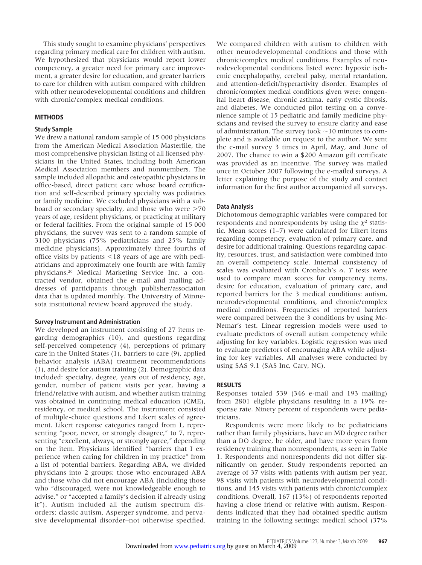This study sought to examine physicians' perspectives regarding primary medical care for children with autism. We hypothesized that physicians would report lower competency, a greater need for primary care improvement, a greater desire for education, and greater barriers to care for children with autism compared with children with other neurodevelopmental conditions and children with chronic/complex medical conditions.

#### **METHODS**

#### **Study Sample**

We drew a national random sample of 15 000 physicians from the American Medical Association Masterfile, the most comprehensive physician listing of all licensed physicians in the United States, including both American Medical Association members and nonmembers. The sample included allopathic and osteopathic physicians in office-based, direct patient care whose board certification and self-described primary specialty was pediatrics or family medicine. We excluded physicians with a subboard or secondary specialty, and those who were  $>70$ years of age, resident physicians, or practicing at military or federal facilities. From the original sample of 15 000 physicians, the survey was sent to a random sample of 3100 physicians (75% pediatricians and 25% family medicine physicians). Approximately three fourths of office visits by patients  $\leq$ 18 years of age are with pediatricians and approximately one fourth are with family physicians.20 Medical Marketing Service Inc, a contracted vendor, obtained the e-mail and mailing addresses of participants through publisher/association data that is updated monthly. The University of Minnesota institutional review board approved the study.

#### **Survey Instrument and Administration**

We developed an instrument consisting of 27 items regarding demographics (10), and questions regarding self-perceived competency (4), perceptions of primary care in the United States (1), barriers to care (9), applied behavior analysis (ABA) treatment recommendations (1), and desire for autism training (2). Demographic data included: specialty, degree, years out of residency, age, gender, number of patient visits per year, having a friend/relative with autism, and whether autism training was obtained in continuing medical education (CME), residency, or medical school. The instrument consisted of multiple-choice questions and Likert scales of agreement. Likert response categories ranged from 1, representing "poor, never, or strongly disagree," to 7, representing "excellent, always, or strongly agree," depending on the item. Physicians identified "barriers that I experience when caring for children in my practice" from a list of potential barriers. Regarding ABA, we divided physicians into 2 groups: those who encouraged ABA and those who did not encourage ABA (including those who "discouraged, were not knowledgeable enough to advise," or "accepted a family's decision if already using it"). Autism included all the autism spectrum disorders: classic autism, Asperger syndrome, and pervasive developmental disorder–not otherwise specified.

We compared children with autism to children with other neurodevelopmental conditions and those with chronic/complex medical conditions. Examples of neurodevelopmental conditions listed were: hypoxic ischemic encephalopathy, cerebral palsy, mental retardation, and attention-deficit/hyperactivity disorder. Examples of chronic/complex medical conditions given were: congenital heart disease, chronic asthma, early cystic fibrosis, and diabetes. We conducted pilot testing on a convenience sample of 15 pediatric and family medicine physicians and revised the survey to ensure clarity and ease of administration. The survey took  $\sim$  10 minutes to complete and is available on request to the author. We sent the e-mail survey 3 times in April, May, and June of 2007. The chance to win a \$200 Amazon gift certificate was provided as an incentive. The survey was mailed once in October 2007 following the e-mailed surveys. A letter explaining the purpose of the study and contact information for the first author accompanied all surveys.

#### **Data Analysis**

Dichotomous demographic variables were compared for respondents and nonrespondents by using the  $\chi^2$  statistic. Mean scores (1–7) were calculated for Likert items regarding competency, evaluation of primary care, and desire for additional training. Questions regarding capacity, resources, trust, and satisfaction were combined into an overall competency scale. Internal consistency of scales was evaluated with Cronbach's  $\alpha$ . *T* tests were used to compare mean scores for competency items, desire for education, evaluation of primary care, and reported barriers for the 3 medical conditions: autism, neurodevelopmental conditions, and chronic/complex medical conditions. Frequencies of reported barriers were compared between the 3 conditions by using Mc-Nemar's test. Linear regression models were used to evaluate predictors of overall autism competency while adjusting for key variables. Logistic regression was used to evaluate predictors of encouraging ABA while adjusting for key variables. All analyses were conducted by using SAS 9.1 (SAS Inc, Cary, NC).

#### **RESULTS**

Responses totaled 539 (346 e-mail and 193 mailing) from 2801 eligible physicians resulting in a 19% response rate. Ninety percent of respondents were pediatricians.

Respondents were more likely to be pediatricians rather than family physicians, have an MD degree rather than a DO degree, be older, and have more years from residency training than nonrespondents, as seen in Table 1. Respondents and nonrespondents did not differ significantly on gender. Study respondents reported an average of 37 visits with patients with autism per year, 98 visits with patients with neurodevelopmental conditions, and 145 visits with patients with chronic/complex conditions. Overall, 167 (13%) of respondents reported having a close friend or relative with autism. Respondents indicated that they had obtained specific autism training in the following settings: medical school (37%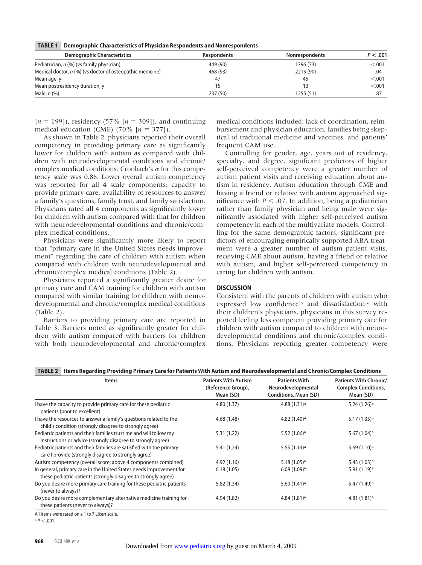**TABLE 1 Demographic Characteristics of Physician Respondents and Nonrespondents**

| <b>Demographic Characteristics</b>                          | Respondents | <b>Nonrespondents</b> | P < .001 |
|-------------------------------------------------------------|-------------|-----------------------|----------|
| Pediatrician, n (%) (vs family physician)                   | 449 (90)    | 1796 (73)             | < 0.001  |
| Medical doctor, $n$ (%) (vs doctor of osteopathic medicine) | 468 (93)    | 2215 (90)             | .04      |
| Mean age, y                                                 | 47          | 45                    | < 0.01   |
| Mean postresidency duration, y                              |             | 13                    | < 0.01   |
| Male, <i>n</i> (%)                                          | 237 (50)    | 1255 (51)             | .87      |

 $[n = 199]$ ), residency (57%  $[n = 309]$ ), and continuing medical education (CME) (70%  $[n = 377]$ ).

As shown in Table 2, physicians reported their overall competency in providing primary care as significantly lower for children with autism as compared with children with neurodevelopmental conditions and chronic/ complex medical conditions. Cronbach's  $\alpha$  for this competency scale was 0.86. Lower overall autism competency was reported for all 4 scale components: capacity to provide primary care, availability of resources to answer a family's questions, family trust, and family satisfaction. Physicians rated all 4 components as significantly lower for children with autism compared with that for children with neurodevelopmental conditions and chronic/complex medical conditions.

Physicians were significantly more likely to report that "primary care in the United States needs improvement" regarding the care of children with autism when compared with children with neurodevelopmental and chronic/complex medical conditions (Table 2).

Physicians reported a significantly greater desire for primary care and CAM training for children with autism compared with similar training for children with neurodevelopmental and chronic/complex medical conditions (Table 2).

Barriers to providing primary care are reported in Table 3. Barriers noted as significantly greater for children with autism compared with barriers for children with both neurodevelopmental and chronic/complex medical conditions included: lack of coordination, reimbursement and physician education, families being skeptical of traditional medicine and vaccines, and patients' frequent CAM use.

Controlling for gender, age, years out of residency, specialty, and degree, significant predictors of higher self-perceived competency were a greater number of autism patient visits and receiving education about autism in residency. Autism education through CME and having a friend or relative with autism approached significance with  $P < 0.07$ . In addition, being a pediatrician rather than family physician and being male were significantly associated with higher self-perceived autism competency in each of the multivariate models. Controlling for the same demographic factors, significant predictors of encouraging empirically supported ABA treatment were a greater number of autism patient visits, receiving CME about autism, having a friend or relative with autism, and higher self-perceived competency in caring for children with autism.

#### **DISCUSSION**

Consistent with the parents of children with autism who expressed low confidence<sup>15</sup> and dissatisfaction<sup>16</sup> with their children's physicians, physicians in this survey reported feeling less competent providing primary care for children with autism compared to children with neurodevelopmental conditions and chronic/complex conditions. Physicians reporting greater competency were

#### **TABLE 2 Items Regarding Providing Primary Care for Patients With Autism and Neurodevelopmental and Chronic/Complex Conditions**

| Items                                                                                                                                 | <b>Patients With Autism</b><br>(Reference Group),<br>Mean (SD) | <b>Patients With</b><br>Neurodevelopmental<br><b>Conditions, Mean (SD)</b> | <b>Patients With Chronic/</b><br><b>Complex Conditions,</b><br>Mean (SD) |
|---------------------------------------------------------------------------------------------------------------------------------------|----------------------------------------------------------------|----------------------------------------------------------------------------|--------------------------------------------------------------------------|
| I have the capacity to provide primary care for these pediatric<br>patients (poor to excellent)                                       | 4.80(1.37)                                                     | 4.88 $(1.31)$ <sup>a</sup>                                                 | $5.24(1.26)^a$                                                           |
| I have the resources to answer a family's questions related to the<br>child's condition (strongly disagree to strongly agree)         | 4.68(1.48)                                                     | $4.82(1.40)$ <sup>a</sup>                                                  | $5.17(1.35)^a$                                                           |
| Pediatric patients and their families trust me and will follow my<br>instructions or advice (strongly disagree to strongly agree)     | 5.31(1.22)                                                     | $5.52(1.06)^a$                                                             | $5.67(1.04)$ <sup>a</sup>                                                |
| Pediatric patients and their families are satisfied with the primary<br>care I provide (strongly disagree to strongly agree)          | 5.41 (1.24)                                                    | 5.55 $(1.14)$ <sup>a</sup>                                                 | 5.69(1.10) <sup>a</sup>                                                  |
| Autism competency (overall score; above 4 components combined)                                                                        | 4.92(1.16)                                                     | $5.18(1.05)^a$                                                             | $5.43(1.03)^a$                                                           |
| In general, primary care in the United States needs improvement for<br>these pediatric patients (strongly disagree to strongly agree) | 6.18(1.05)                                                     | $6.08(1.09)^a$                                                             | $5.91(1.19)^a$                                                           |
| Do you desire more primary care training for these pediatric patients<br>(never to always)?                                           | 5.82(1.34)                                                     | 5.60(1.41) <sup>a</sup>                                                    | 5.47 (1.49) <sup>a</sup>                                                 |
| Do you desire more complementary alternative medicine training for<br>these patients (never to always)?                               | 4.94 (1.82)                                                    | $4.84(1.81)^a$                                                             | $4.81(1.81)^a$                                                           |
| All items were rated on a 1 to 7 Likert scale.                                                                                        |                                                                |                                                                            |                                                                          |

 $P < .001$ .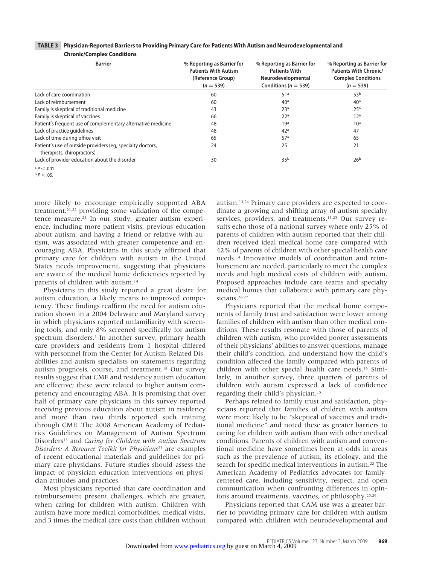| <b>Barrier</b>                                                                           | % Reporting as Barrier for<br><b>Patients With Autism</b><br>(Reference Group)<br>$(n = 539)$ | % Reporting as Barrier for<br><b>Patients With</b><br>Neurodevelopmental<br>Conditions ( $n = 539$ ) | % Reporting as Barrier for<br><b>Patients With Chronic/</b><br><b>Complex Conditions</b><br>$(n = 539)$ |
|------------------------------------------------------------------------------------------|-----------------------------------------------------------------------------------------------|------------------------------------------------------------------------------------------------------|---------------------------------------------------------------------------------------------------------|
| Lack of care coordination                                                                | 60                                                                                            | 51 <sup>a</sup>                                                                                      | 53 <sup>b</sup>                                                                                         |
| Lack of reimbursement                                                                    | 60                                                                                            | 40 <sup>a</sup>                                                                                      | 40 <sup>a</sup>                                                                                         |
| Family is skeptical of traditional medicine                                              | 43                                                                                            | 23 <sup>a</sup>                                                                                      | 25 <sup>a</sup>                                                                                         |
| Family is skeptical of vaccines                                                          | 66                                                                                            | 22 <sup>a</sup>                                                                                      | 12 <sup>a</sup>                                                                                         |
| Patient's frequent use of complementary alternative medicine                             | 48                                                                                            | 19 <sup>a</sup>                                                                                      | 10 <sup>a</sup>                                                                                         |
| Lack of practice quidelines                                                              | 48                                                                                            | 42 <sup>a</sup>                                                                                      | 47                                                                                                      |
| Lack of time during office visit                                                         | 65                                                                                            | 57 <sup>a</sup>                                                                                      | 65                                                                                                      |
| Patient's use of outside providers (eq, specialty doctors,<br>therapists, chiropractors) | 24                                                                                            | 25                                                                                                   | 21                                                                                                      |
| Lack of provider education about the disorder                                            | 30                                                                                            | 35 <sup>b</sup>                                                                                      | 26 <sup>b</sup>                                                                                         |

| TABLE 3 Physician-Reported Barriers to Providing Primary Care for Patients With Autism and Neurodevelopmental and |  |
|-------------------------------------------------------------------------------------------------------------------|--|
| <b>Chronic/Complex Conditions</b>                                                                                 |  |

 $p < .05$ .

more likely to encourage empirically supported ABA treatment,21,22 providing some validation of the competence measure.23 In our study, greater autism experience, including more patient visits, previous education about autism, and having a friend or relative with autism, was associated with greater competence and encouraging ABA. Physicians in this study affirmed that primary care for children with autism in the United States needs improvement, suggesting that physicians are aware of the medical home deficiencies reported by parents of children with autism.14

Physicians in this study reported a great desire for autism education, a likely means to improved competency. These findings reaffirm the need for autism education shown in a 2004 Delaware and Maryland survey in which physicians reported unfamiliarity with screening tools, and only 8% screened specifically for autism spectrum disorders.<sup>1</sup> In another survey, primary health care providers and residents from 1 hospital differed with personnel from the Center for Autism-Related Disabilities and autism specialists on statements regarding autism prognosis, course, and treatment.18 Our survey results suggest that CME and residency autism education are effective; these were related to higher autism competency and encouraging ABA. It is promising that over half of primary care physicians in this survey reported receiving previous education about autism in residency and more than two thirds reported such training through CME. The 2008 American Academy of Pediatrics Guidelines on Management of Autism Spectrum Disorders13 and *Caring for Children with Autism Spectrum Disorders: A Resource Toolkit for Physicians*<sup>23</sup> are examples of recent educational materials and guidelines for primary care physicians. Future studies should assess the impact of physician education interventions on physician attitudes and practices.

Most physicians reported that care coordination and reimbursement present challenges, which are greater, when caring for children with autism. Children with autism have more medical comorbidities, medical visits, and 3 times the medical care costs than children without

autism.13,24 Primary care providers are expected to coordinate a growing and shifting array of autism specialty services, providers, and treatments.13,25 Our survey results echo those of a national survey where only 25% of parents of children with autism reported that their children received ideal medical home care compared with 42% of parents of children with other special health care needs.14 Innovative models of coordination and reimbursement are needed, particularly to meet the complex needs and high medical costs of children with autism. Proposed approaches include care teams and specialty medical homes that collaborate with primary care physicians.26,27

Physicians reported that the medical home components of family trust and satisfaction were lower among families of children with autism than other medical conditions. These results resonate with those of parents of children with autism, who provided poorer assessments of their physicians' abilities to answer questions, manage their child's condition, and understand how the child's condition affected the family compared with parents of children with other special health care needs.16 Similarly, in another survey, three quarters of parents of children with autism expressed a lack of confidence regarding their child's physician.15

Perhaps related to family trust and satisfaction, physicians reported that families of children with autism were more likely to be "skeptical of vaccines and traditional medicine" and noted these as greater barriers to caring for children with autism than with other medical conditions. Parents of children with autism and conventional medicine have sometimes been at odds in areas such as the prevalence of autism, its etiology, and the search for specific medical interventions in autism.28 The American Academy of Pediatrics advocates for familycentered care, including sensitivity, respect, and open communication when confronting differences in opinions around treatments, vaccines, or philosophy.25,29

Physicians reported that CAM use was a greater barrier to providing primary care for children with autism compared with children with neurodevelopmental and

 $a \, p < .001.$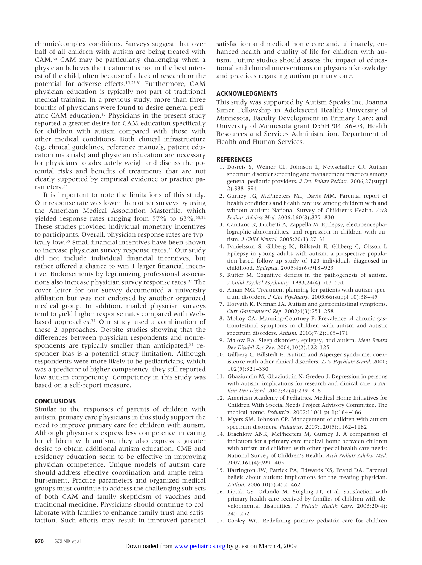chronic/complex conditions. Surveys suggest that over half of all children with autism are being treated with CAM.30 CAM may be particularly challenging when a physician believes the treatment is not in the best interest of the child, often because of a lack of research or the potential for adverse effects.15,25,31 Furthermore, CAM physician education is typically not part of traditional medical training. In a previous study, more than three fourths of physicians were found to desire general pediatric CAM education.32 Physicians in the present study reported a greater desire for CAM education specifically for children with autism compared with those with other medical conditions. Both clinical infrastructure (eg, clinical guidelines, reference manuals, patient education materials) and physician education are necessary for physicians to adequately weigh and discuss the potential risks and benefits of treatments that are not clearly supported by empirical evidence or practice parameters.25

It is important to note the limitations of this study. Our response rate was lower than other surveys by using the American Medical Association Masterfile, which yielded response rates ranging from  $57\%$  to  $63\%$ .<sup>33,34</sup> These studies provided individual monetary incentives to participants. Overall, physician response rates are typically low.35 Small financial incentives have been shown to increase physician survey response rates.<sup>35</sup> Our study did not include individual financial incentives, but rather offered a chance to win 1 larger financial incentive. Endorsements by legitimizing professional associations also increase physician survey response rates.<sup>35</sup> The cover letter for our survey documented a university affiliation but was not endorsed by another organized medical group. In addition, mailed physician surveys tend to yield higher response rates compared with Webbased approaches.35 Our study used a combination of these 2 approaches. Despite studies showing that the differences between physician respondents and nonrespondents are typically smaller than anticipated,<sup>35</sup> responder bias is a potential study limitation. Although respondents were more likely to be pediatricians, which was a predictor of higher competency, they still reported low autism competency. Competency in this study was based on a self-report measure.

#### **CONCLUSIONS**

Similar to the responses of parents of children with autism, primary care physicians in this study support the need to improve primary care for children with autism. Although physicians express less competence in caring for children with autism, they also express a greater desire to obtain additional autism education. CME and residency education seem to be effective in improving physician competence. Unique models of autism care should address effective coordination and ample reimbursement. Practice parameters and organized medical groups must continue to address the challenging subjects of both CAM and family skepticism of vaccines and traditional medicine. Physicians should continue to collaborate with families to enhance family trust and satisfaction. Such efforts may result in improved parental satisfaction and medical home care and, ultimately, enhanced health and quality of life for children with autism. Future studies should assess the impact of educational and clinical interventions on physician knowledge and practices regarding autism primary care.

#### **ACKNOWLEDGMENTS**

This study was supported by Autism Speaks Inc, Joanna Simer Fellowship in Adolescent Health; University of Minnesota, Faculty Development in Primary Care; and University of Minnesota grant D55HP04186-03, Health Resources and Services Administration, Department of Health and Human Services.

#### **REFERENCES**

- 1. Dosreis S, Weiner CL, Johnson L, Newschaffer CJ. Autism spectrum disorder screening and management practices among general pediatric providers. *J Dev Behav Pediatr.* 2006;27(suppl 2):S88–S94
- 2. Gurney JG, McPheeters ML, Davis MM. Parental report of health conditions and health care use among children with and without autism: National Survey of Children's Health. *Arch Pediatr Adolesc Med.* 2006;160(8):825–830
- 3. Canitano R, Luchetti A, Zappella M. Epilepsy, electroencephalographic abnormalities, and regression in children with autism. *J Child Neurol.* 2005;20(1):27–31
- 4. Danielsson S, Gillberg IC, Billstedt E, Gillberg C, Olsson I. Epilepsy in young adults with autism: a prospective population-based follow-up study of 120 individuals diagnosed in childhood. *Epilepsia.* 2005;46(6):918–923
- 5. Rutter M. Cognitive deficits in the pathogenesis of autism. *J Child Psychol Psychiatry.* 1983;24(4):513–531
- 6. Aman MG. Treatment planning for patients with autism spectrum disorders. *J Clin Psychiatry.* 2005;66(suppl 10):38–45
- 7. Horvath K, Perman JA. Autism and gastrointestinal symptoms. *Curr Gastroenterol Rep.* 2002;4(3):251–258
- 8. Molloy CA, Manning-Courtney P. Prevalence of chronic gastrointestinal symptoms in children with autism and autistic spectrum disorders. *Autism.* 2003;7(2):165–171
- 9. Malow BA. Sleep disorders, epilepsy, and autism. *Ment Retard Dev Disabil Res Rev.* 2004;10(2):122–125
- 10. Gillberg C, Billstedt E. Autism and Asperger syndrome: coexistence with other clinical disorders. *Acta Psychiatr Scand.* 2000; 102(5):321–330
- 11. Ghaziuddin M, Ghaziuddin N, Greden J. Depression in persons with autism: implications for research and clinical care. *J Autism Dev Disord.* 2002;32(4):299–306
- 12. American Academy of Pediatrics, Medical Home Initiatives for Children With Special Needs Project Advisory Committee. The medical home. *Pediatrics.* 2002;110(1 pt 1):184–186
- 13. Myers SM, Johnson CP. Management of children with autism spectrum disorders. *Pediatrics.* 2007;120(5):1162–1182
- 14. Brachlow ANK, McPheeters M, Gurney J. A comparison of indicators for a primary care medical home between children with autism and children with other special health care needs: National Survey of Children's Health. *Arch Pediatr Adolesc Med.* 2007;161(4):399–405
- 15. Harrington JW, Patrick PA, Edwards KS, Brand DA. Parental beliefs about autism: implications for the treating physician. *Autism.* 2006;10(5):452–462
- 16. Liptak GS, Orlando M, Yingling JT, et al. Satisfaction with primary health care received by families of children with developmental disabilities. *J Pediatr Health Care.* 2006;20(4): 245–252
- 17. Cooley WC. Redefining primary pediatric care for children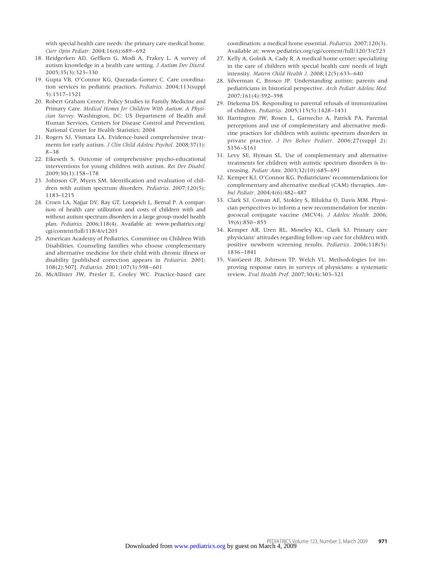with special health care needs: the primary care medical home. *Curr Opin Pediatr.* 2004;16(6):689–692

- 18. Heidgerken AD, Geffken G, Modi A, Frakey L. A survey of autism knowledge in a health care setting. *J Autism Dev Disord.* 2005;35(3):323–330
- 19. Gupta VB, O'Connor KG, Quezada-Gomez C. Care coordination services in pediatric practices. *Pediatrics.* 2004;113(suppl 5):1517–1521
- 20. Robert Graham Center, Policy Studies in Family Medicine and Primary Care. *Medical Homes for Children With Autism: A Physician Survey.* Washington, DC: US Department of Health and Human Services, Centers for Disease Control and Prevention, National Center for Health Statistics; 2004
- 21. Rogers SJ, Vismara LA. Evidence-based comprehensive treatments for early autism. *J Clin Child Adolesc Psychol.* 2008;37(1): 8–38
- 22. Eikeseth S. Outcome of comprehensive psycho-educational interventions for young children with autism. *Res Dev Disabil.* 2009;30(1):158–178
- 23. Johnson CP, Myers SM. Identification and evaluation of children with autism spectrum disorders. *Pediatrics.* 2007;120(5): 1183–1215
- 24. Croen LA, Najjar DV, Ray GT, Lotspeich L, Bernal P. A comparison of health care utilization and costs of children with and without autism spectrum disorders in a large group-model health plan. *Pediatrics.* 2006;118(4). Available at: www.pediatrics.org/ cgi/content/full/118/4/e1203
- 25. American Academy of Pediatrics, Committee on Children With Disabilities. Counseling families who choose complementary and alternative medicine for their child with chronic illness or disability [published correction appears in *Pediatrics.* 2001; 108(2):507]. *Pediatrics.* 2001;107(3):598–601
- 26. McAllister JW, Presler E, Cooley WC. Practice-based care

coordination: a medical home essential. *Pediatrics.* 2007;120(3). Available at: www.pediatrics.org/cgi/content/full/120/3/e723

- 27. Kelly A, Golnik A, Cady R. A medical home center: specializing in the care of children with special health care needs of high intensity. *Matern Child Health J.* 2008;12(5):633–640
- 28. Silverman C, Brosco JP. Understanding autism: parents and pediatricians in historical perspective. *Arch Pediatr Adolesc Med.* 2007;161(4):392–398
- 29. Diekema DS. Responding to parental refusals of immunization of children. *Pediatrics.* 2005;115(5):1428–1431
- 30. Harrington JW, Rosen L, Garnecho A, Patrick PA. Parental perceptions and use of complementary and alternative medicine practices for children with autistic spectrum disorders in private practice. *J Dev Behav Pediatr.* 2006;27(suppl 2): S156–S161
- 31. Levy SE, Hyman SL. Use of complementary and alternative treatments for children with autistic spectrum disorders is increasing. *Pediatr Ann.* 2003;32(10):685–691
- 32. Kemper KJ, O'Connor KG. Pediatricians' recommendations for complementary and alternative medical (CAM) therapies. *Ambul Pediatr.* 2004;4(6):482–487
- 33. Clark SJ, Cowan AE, Stokley S, Bilukha O, Davis MM. Physician perspectives to inform a new recommendation for meningococcal conjugate vaccine (MCV4). *J Adolesc Health.* 2006; 39(6):850–855
- 34. Kemper AR, Uren RL, Moseley KL, Clark SJ. Primary care physicians' attitudes regarding follow-up care for children with positive newborn screening results. *Pediatrics.* 2006;118(5): 1836–1841
- 35. VanGeest JB, Johnson TP, Welch VL. Methodologies for improving response rates in surveys of physicians: a systematic review. *Eval Health Prof.* 2007;30(4):303–321